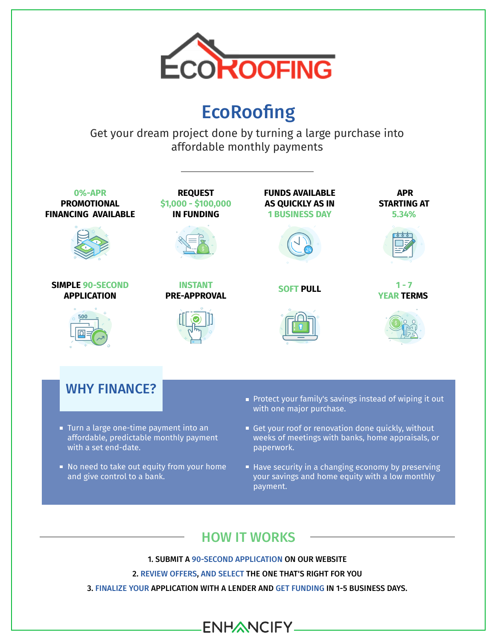

### **EcoRoofing**

Get your dream project done by turning a large purchase into affordable monthly payments



- No need to take out equity from your home and give control to a bank.
- Have security in a changing economy by preserving your savings and home equity with a low monthly payment.

### HOW IT WORKS

1. SUBMIT A 90-SECOND APPLICATION ON OUR WEBSITE

2. REVIEW OFFERS, AND SELECT THE ONE THAT'S RIGHT FOR YOU

3. FINALIZE YOUR APPLICATION WITH A LENDER AND GET FUNDING IN 1-5 BUSINESS DAYS.

**ENHANCIFY\_**